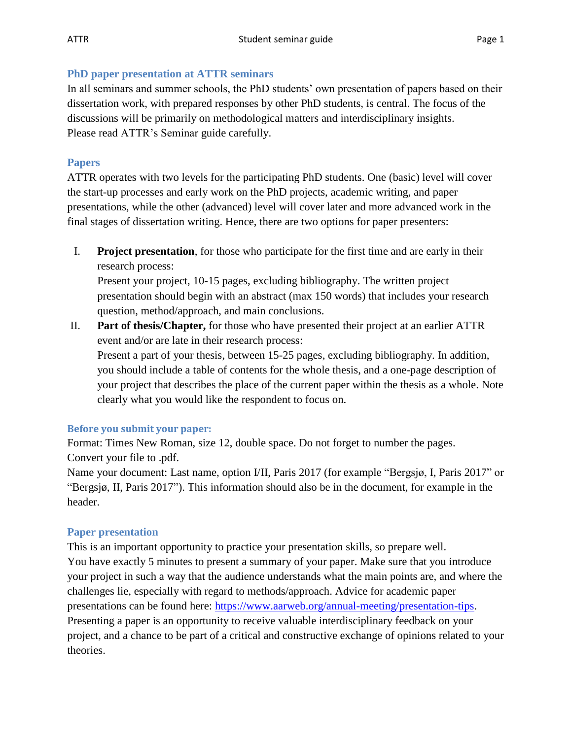#### **PhD paper presentation at ATTR seminars**

In all seminars and summer schools, the PhD students' own presentation of papers based on their dissertation work, with prepared responses by other PhD students, is central. The focus of the discussions will be primarily on methodological matters and interdisciplinary insights. Please read ATTR's Seminar guide carefully.

## **Papers**

ATTR operates with two levels for the participating PhD students. One (basic) level will cover the start-up processes and early work on the PhD projects, academic writing, and paper presentations, while the other (advanced) level will cover later and more advanced work in the final stages of dissertation writing. Hence, there are two options for paper presenters:

I. **Project presentation**, for those who participate for the first time and are early in their research process:

Present your project, 10-15 pages, excluding bibliography. The written project presentation should begin with an abstract (max 150 words) that includes your research question, method/approach, and main conclusions.

II. **Part of thesis/Chapter,** for those who have presented their project at an earlier ATTR event and/or are late in their research process: Present a part of your thesis, between 15-25 pages, excluding bibliography. In addition, you should include a table of contents for the whole thesis, and a one-page description of your project that describes the place of the current paper within the thesis as a whole. Note

#### **Before you submit your paper:**

Format: Times New Roman, size 12, double space. Do not forget to number the pages. Convert your file to .pdf.

clearly what you would like the respondent to focus on.

Name your document: Last name, option I/II, Paris 2017 (for example "Bergsjø, I, Paris 2017" or "Bergsjø, II, Paris 2017"). This information should also be in the document, for example in the header.

# **Paper presentation**

This is an important opportunity to practice your presentation skills, so prepare well. You have exactly 5 minutes to present a summary of your paper. Make sure that you introduce your project in such a way that the audience understands what the main points are, and where the challenges lie, especially with regard to methods/approach. Advice for academic paper presentations can be found here: [https://www.aarweb.org/annual-meeting/presentation-tips.](https://www.aarweb.org/annual-meeting/presentation-tips) Presenting a paper is an opportunity to receive valuable interdisciplinary feedback on your project, and a chance to be part of a critical and constructive exchange of opinions related to your theories.